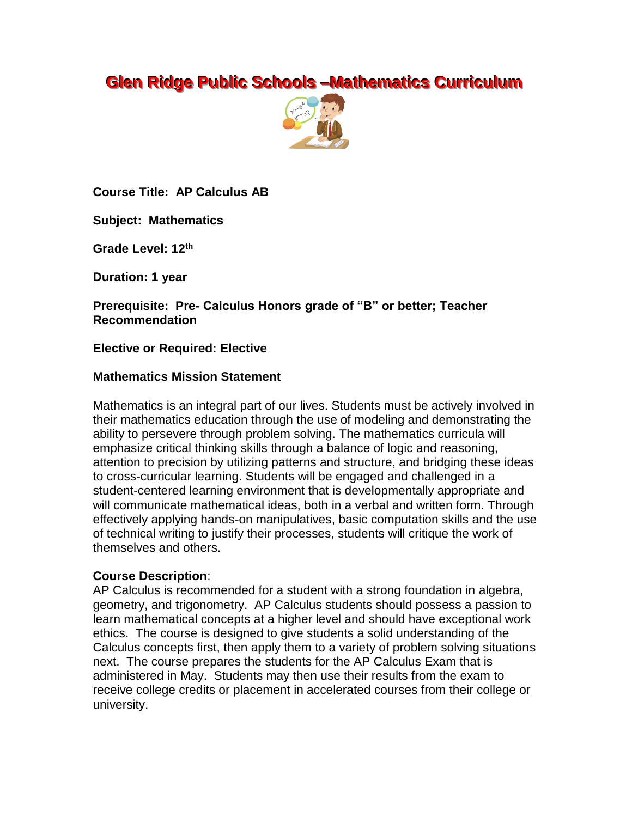# **Glen Ridge Public Schools –Mathematics Curriculum**



**Course Title: AP Calculus AB**

**Subject: Mathematics**

**Grade Level: 12th**

**Duration: 1 year**

**Prerequisite: Pre- Calculus Honors grade of "B" or better; Teacher Recommendation**

## **Elective or Required: Elective**

### **Mathematics Mission Statement**

Mathematics is an integral part of our lives. Students must be actively involved in their mathematics education through the use of modeling and demonstrating the ability to persevere through problem solving. The mathematics curricula will emphasize critical thinking skills through a balance of logic and reasoning, attention to precision by utilizing patterns and structure, and bridging these ideas to cross-curricular learning. Students will be engaged and challenged in a student-centered learning environment that is developmentally appropriate and will communicate mathematical ideas, both in a verbal and written form. Through effectively applying hands-on manipulatives, basic computation skills and the use of technical writing to justify their processes, students will critique the work of themselves and others.

## **Course Description**:

AP Calculus is recommended for a student with a strong foundation in algebra, geometry, and trigonometry. AP Calculus students should possess a passion to learn mathematical concepts at a higher level and should have exceptional work ethics. The course is designed to give students a solid understanding of the Calculus concepts first, then apply them to a variety of problem solving situations next. The course prepares the students for the AP Calculus Exam that is administered in May. Students may then use their results from the exam to receive college credits or placement in accelerated courses from their college or university.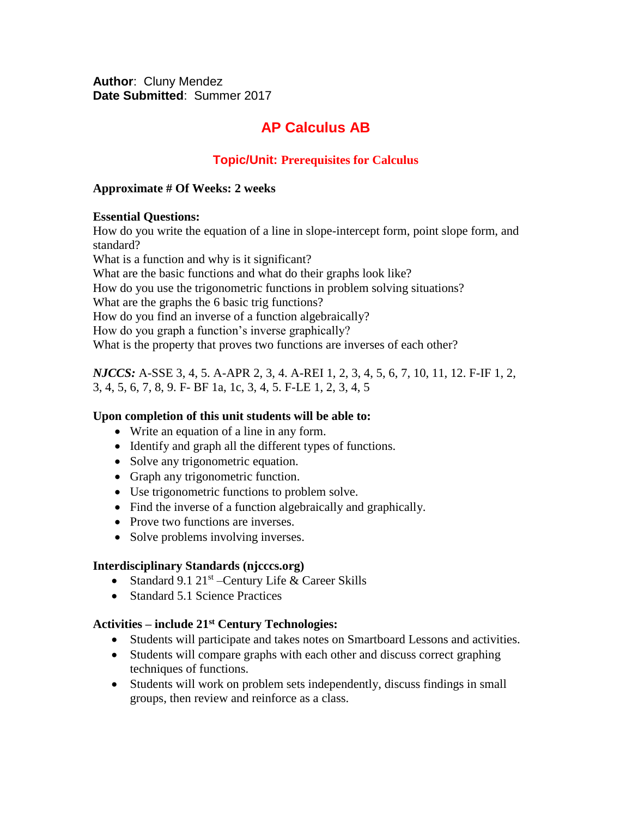**Author**: Cluny Mendez **Date Submitted**: Summer 2017

# **AP Calculus AB**

## **Topic/Unit: Prerequisites for Calculus**

#### **Approximate # Of Weeks: 2 weeks**

#### **Essential Questions:**

How do you write the equation of a line in slope-intercept form, point slope form, and standard?

What is a function and why is it significant? What are the basic functions and what do their graphs look like? How do you use the trigonometric functions in problem solving situations? What are the graphs the 6 basic trig functions? How do you find an inverse of a function algebraically? How do you graph a function's inverse graphically? What is the property that proves two functions are inverses of each other?

*NJCCS:* A-SSE 3, 4, 5. A-APR 2, 3, 4. A-REI 1, 2, 3, 4, 5, 6, 7, 10, 11, 12. F-IF 1, 2, 3, 4, 5, 6, 7, 8, 9. F- BF 1a, 1c, 3, 4, 5. F-LE 1, 2, 3, 4, 5

#### **Upon completion of this unit students will be able to:**

- Write an equation of a line in any form.
- Identify and graph all the different types of functions.
- Solve any trigonometric equation.
- Graph any trigonometric function.
- Use trigonometric functions to problem solve.
- Find the inverse of a function algebraically and graphically.
- Prove two functions are inverses.
- Solve problems involving inverses.

#### **Interdisciplinary Standards (njcccs.org)**

- Standard 9.1  $21^{st}$  -Century Life & Career Skills
- Standard 5.1 Science Practices

#### **Activities – include 21st Century Technologies:**

- Students will participate and takes notes on Smartboard Lessons and activities.
- Students will compare graphs with each other and discuss correct graphing techniques of functions.
- Students will work on problem sets independently, discuss findings in small groups, then review and reinforce as a class.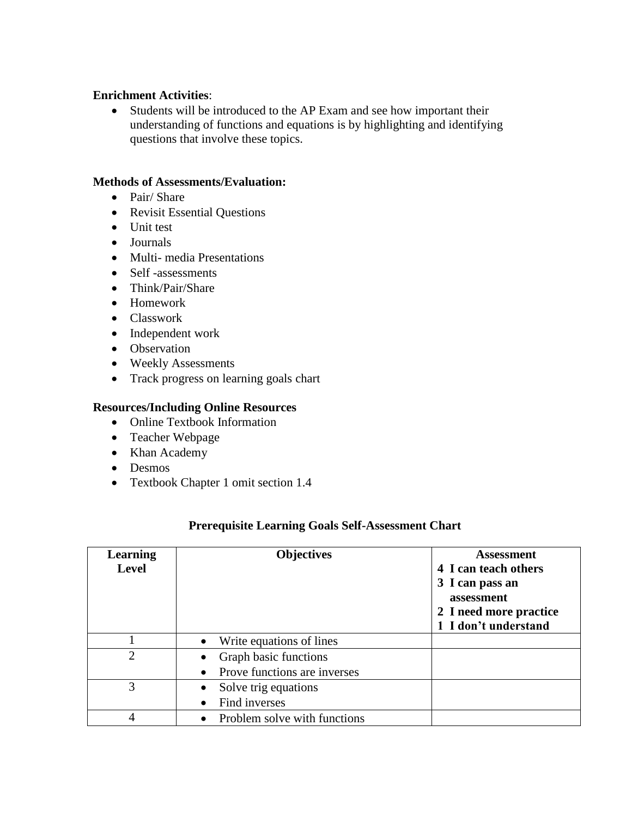### **Enrichment Activities**:

 Students will be introduced to the AP Exam and see how important their understanding of functions and equations is by highlighting and identifying questions that involve these topics.

### **Methods of Assessments/Evaluation:**

- Pair/ Share
- Revisit Essential Questions
- Unit test
- Journals
- Multi- media Presentations
- Self -assessments
- Think/Pair/Share
- Homework
- Classwork
- Independent work
- Observation
- Weekly Assessments
- Track progress on learning goals chart

#### **Resources/Including Online Resources**

- Online Textbook Information
- Teacher Webpage
- Khan Academy
- Desmos
- Textbook Chapter 1 omit section 1.4

| <b>Learning</b> | <b>Objectives</b>                         | <b>Assessment</b>      |
|-----------------|-------------------------------------------|------------------------|
| <b>Level</b>    |                                           | 4 I can teach others   |
|                 |                                           | 3 I can pass an        |
|                 |                                           | assessment             |
|                 |                                           | 2 I need more practice |
|                 |                                           | 1 I don't understand   |
|                 | Write equations of lines<br>$\bullet$     |                        |
| $\overline{2}$  | Graph basic functions<br>$\bullet$        |                        |
|                 | Prove functions are inverses<br>$\bullet$ |                        |
| 3               | Solve trig equations                      |                        |
|                 | Find inverses                             |                        |
|                 | Problem solve with functions              |                        |

## **Prerequisite Learning Goals Self-Assessment Chart**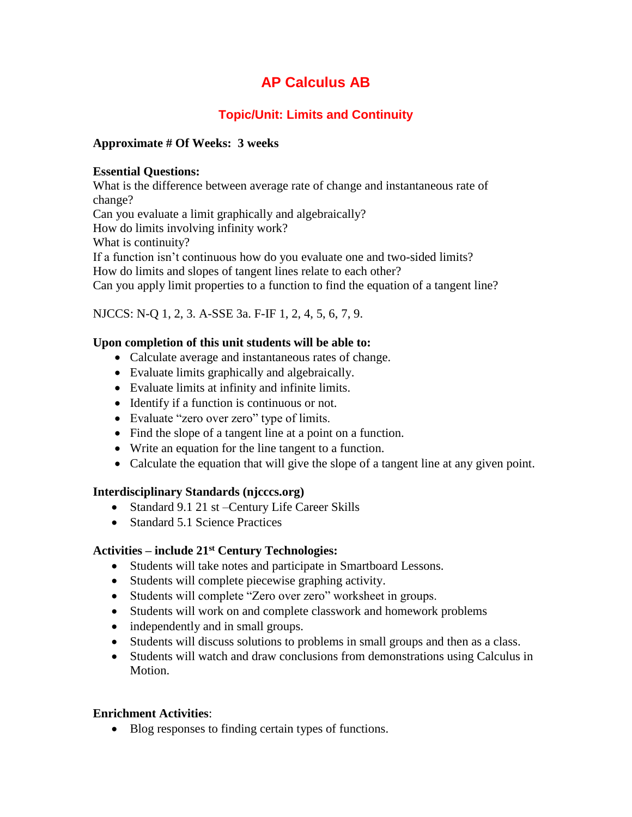# **Topic/Unit: Limits and Continuity**

## **Approximate # Of Weeks: 3 weeks**

### **Essential Questions:**

What is the difference between average rate of change and instantaneous rate of change? Can you evaluate a limit graphically and algebraically? How do limits involving infinity work? What is continuity? If a function isn't continuous how do you evaluate one and two-sided limits? How do limits and slopes of tangent lines relate to each other? Can you apply limit properties to a function to find the equation of a tangent line?

## NJCCS: N-Q 1, 2, 3. A-SSE 3a. F-IF 1, 2, 4, 5, 6, 7, 9.

## **Upon completion of this unit students will be able to:**

- Calculate average and instantaneous rates of change.
- Evaluate limits graphically and algebraically.
- Evaluate limits at infinity and infinite limits.
- Identify if a function is continuous or not.
- Evaluate "zero over zero" type of limits.
- Find the slope of a tangent line at a point on a function.
- Write an equation for the line tangent to a function.
- Calculate the equation that will give the slope of a tangent line at any given point.

## **Interdisciplinary Standards (njcccs.org)**

- Standard 9.1 21 st Century Life Career Skills
- Standard 5.1 Science Practices

## **Activities – include 21st Century Technologies:**

- Students will take notes and participate in Smartboard Lessons.
- Students will complete piecewise graphing activity.
- Students will complete "Zero over zero" worksheet in groups.
- Students will work on and complete classwork and homework problems
- independently and in small groups.
- Students will discuss solutions to problems in small groups and then as a class.
- Students will watch and draw conclusions from demonstrations using Calculus in Motion.

## **Enrichment Activities**:

• Blog responses to finding certain types of functions.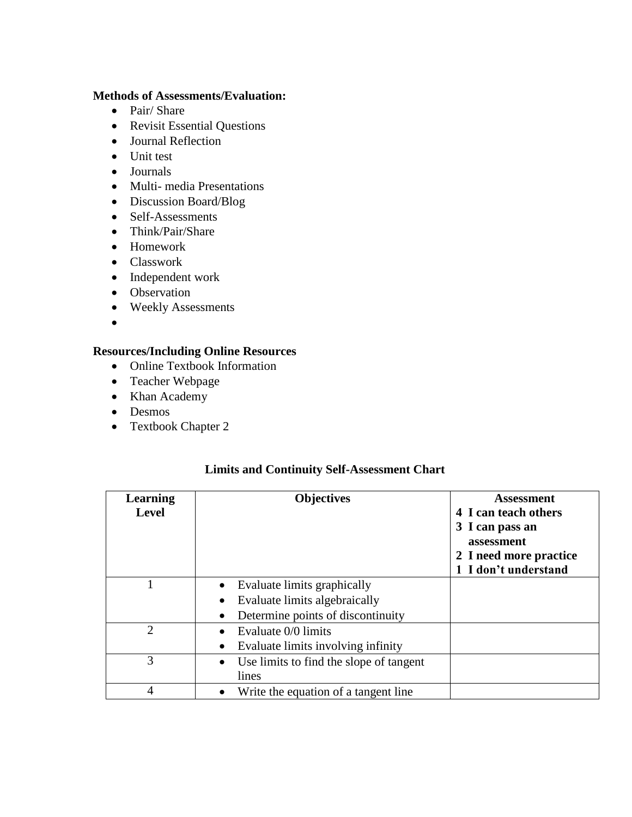#### **Methods of Assessments/Evaluation:**

- Pair/ Share
- Revisit Essential Questions
- Journal Reflection
- Unit test
- Journals
- Multi- media Presentations
- Discussion Board/Blog
- Self-Assessments
- Think/Pair/Share
- Homework
- Classwork
- Independent work
- Observation
- Weekly Assessments
- $\bullet$

## **Resources/Including Online Resources**

- Online Textbook Information
- Teacher Webpage
- Khan Academy
- Desmos
- Textbook Chapter 2

### **Limits and Continuity Self-Assessment Chart**

| <b>Learning</b><br><b>Level</b> | <b>Objectives</b>                                    | <b>Assessment</b><br>4 I can teach others<br>3 I can pass an<br>assessment<br>2 I need more practice<br>1 I don't understand |
|---------------------------------|------------------------------------------------------|------------------------------------------------------------------------------------------------------------------------------|
|                                 | Evaluate limits graphically                          |                                                                                                                              |
|                                 | Evaluate limits algebraically<br>$\bullet$           |                                                                                                                              |
|                                 | Determine points of discontinuity<br>$\bullet$       |                                                                                                                              |
| $\overline{2}$                  | Evaluate 0/0 limits                                  |                                                                                                                              |
|                                 | Evaluate limits involving infinity<br>٠              |                                                                                                                              |
| 3                               | Use limits to find the slope of tangent<br>$\bullet$ |                                                                                                                              |
|                                 | lines                                                |                                                                                                                              |
| 4                               | Write the equation of a tangent line.                |                                                                                                                              |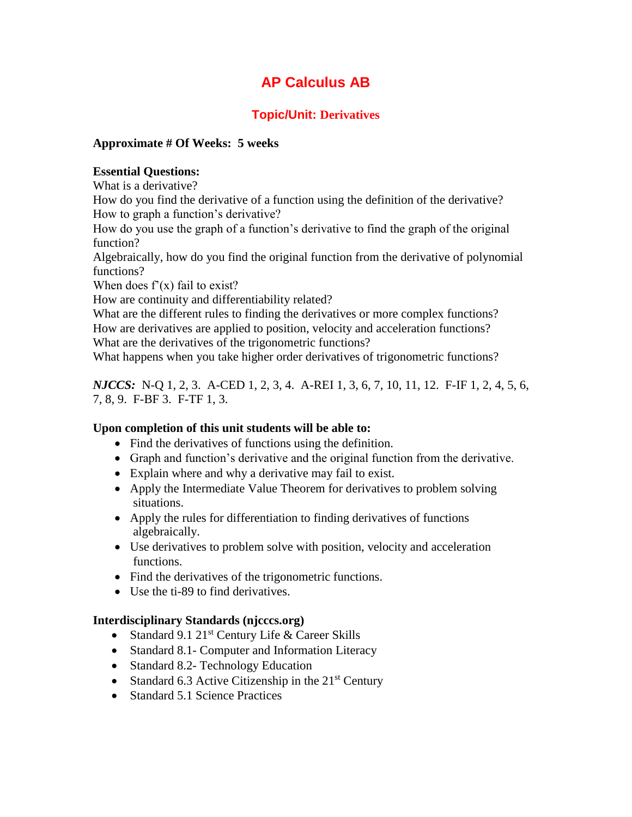# **Topic/Unit: Derivatives**

### **Approximate # Of Weeks: 5 weeks**

#### **Essential Questions:**

What is a derivative?

How do you find the derivative of a function using the definition of the derivative? How to graph a function's derivative?

How do you use the graph of a function's derivative to find the graph of the original function?

Algebraically, how do you find the original function from the derivative of polynomial functions?

When does  $f'(x)$  fail to exist?

How are continuity and differentiability related?

What are the different rules to finding the derivatives or more complex functions? How are derivatives are applied to position, velocity and acceleration functions? What are the derivatives of the trigonometric functions?

What happens when you take higher order derivatives of trigonometric functions?

*NJCCS:* N-Q 1, 2, 3. A-CED 1, 2, 3, 4. A-REI 1, 3, 6, 7, 10, 11, 12. F-IF 1, 2, 4, 5, 6, 7, 8, 9. F-BF 3. F-TF 1, 3.

## **Upon completion of this unit students will be able to:**

- Find the derivatives of functions using the definition.
- Graph and function's derivative and the original function from the derivative.
- Explain where and why a derivative may fail to exist.
- Apply the Intermediate Value Theorem for derivatives to problem solving situations.
- Apply the rules for differentiation to finding derivatives of functions algebraically.
- Use derivatives to problem solve with position, velocity and acceleration functions.
- Find the derivatives of the trigonometric functions.
- Use the ti-89 to find derivatives.

#### **Interdisciplinary Standards (njcccs.org)**

- Standard 9.1  $21^{st}$  Century Life & Career Skills
- Standard 8.1- Computer and Information Literacy
- Standard 8.2- Technology Education
- Standard 6.3 Active Citizenship in the  $21<sup>st</sup>$  Century
- Standard 5.1 Science Practices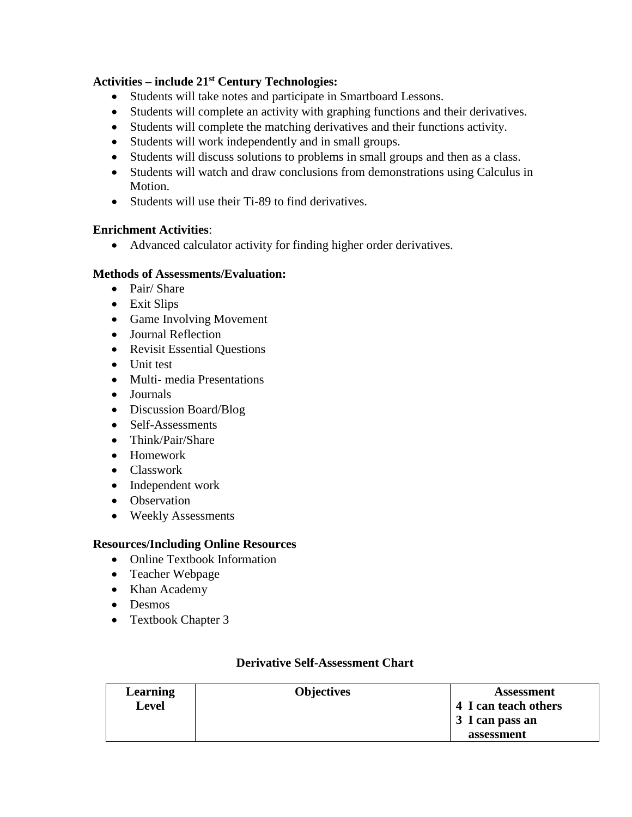# **Activities – include 21st Century Technologies:**

- Students will take notes and participate in Smartboard Lessons.
- Students will complete an activity with graphing functions and their derivatives.
- Students will complete the matching derivatives and their functions activity.
- Students will work independently and in small groups.
- Students will discuss solutions to problems in small groups and then as a class.
- Students will watch and draw conclusions from demonstrations using Calculus in Motion.
- Students will use their Ti-89 to find derivatives.

## **Enrichment Activities**:

Advanced calculator activity for finding higher order derivatives.

## **Methods of Assessments/Evaluation:**

- Pair/ Share
- Exit Slips
- Game Involving Movement
- Journal Reflection
- Revisit Essential Questions
- Unit test
- Multi- media Presentations
- Journals
- Discussion Board/Blog
- Self-Assessments
- Think/Pair/Share
- Homework
- Classwork
- Independent work
- Observation
- Weekly Assessments

## **Resources/Including Online Resources**

- Online Textbook Information
- Teacher Webpage
- Khan Academy
- Desmos
- Textbook Chapter 3

| <b>Learning</b> | <b>Objectives</b> | <b>Assessment</b>    |
|-----------------|-------------------|----------------------|
| Level           |                   | 4 I can teach others |
|                 |                   | 3 I can pass an      |
|                 |                   | assessment           |

## **Derivative Self-Assessment Chart**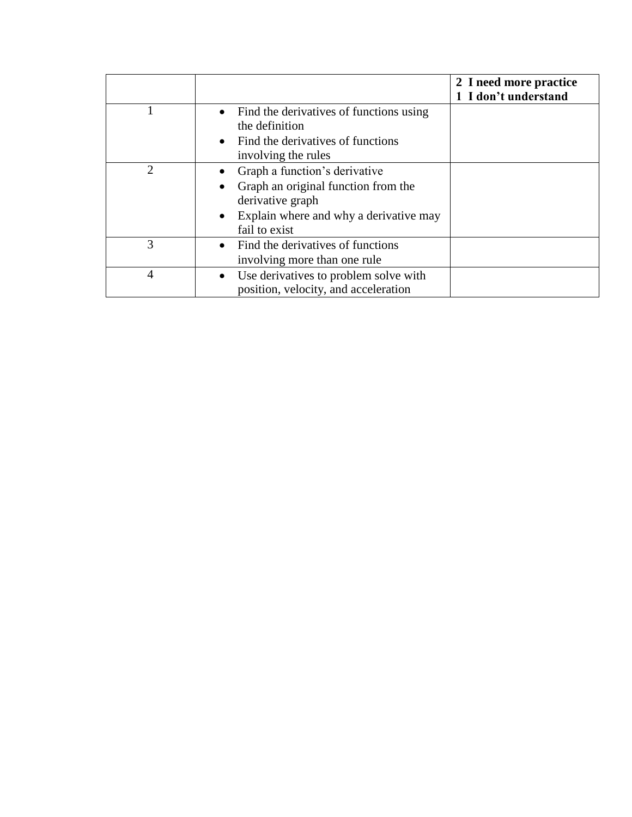|                |                                                                                                                                                                               | 2 I need more practice<br>1 I don't understand |
|----------------|-------------------------------------------------------------------------------------------------------------------------------------------------------------------------------|------------------------------------------------|
|                | • Find the derivatives of functions using<br>the definition<br>• Find the derivatives of functions<br>involving the rules                                                     |                                                |
| $\overline{2}$ | Graph a function's derivative<br>Graph an original function from the<br>$\bullet$<br>derivative graph<br>Explain where and why a derivative may<br>$\bullet$<br>fail to exist |                                                |
| 3              | Find the derivatives of functions<br>$\bullet$<br>involving more than one rule                                                                                                |                                                |
| 4              | Use derivatives to problem solve with<br>$\bullet$<br>position, velocity, and acceleration                                                                                    |                                                |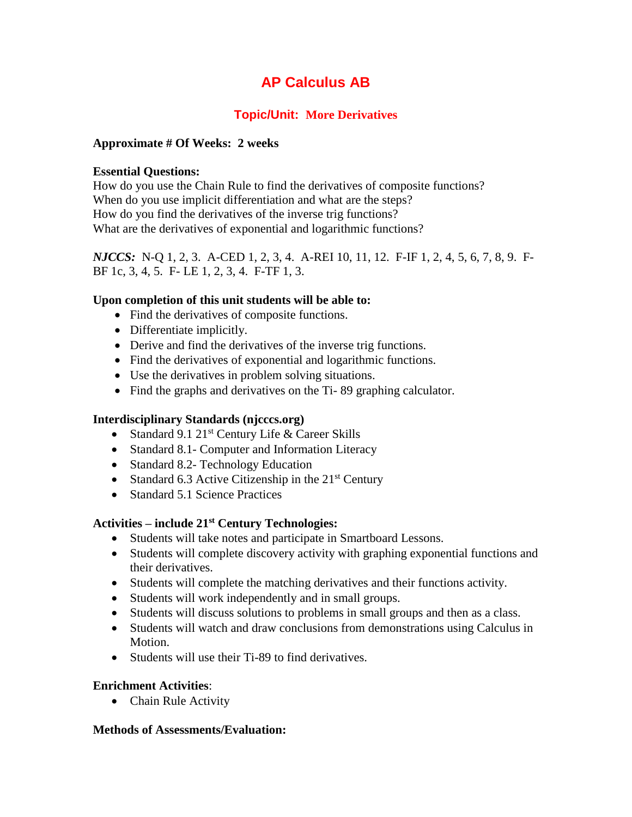# **Topic/Unit: More Derivatives**

## **Approximate # Of Weeks: 2 weeks**

### **Essential Questions:**

How do you use the Chain Rule to find the derivatives of composite functions? When do you use implicit differentiation and what are the steps? How do you find the derivatives of the inverse trig functions? What are the derivatives of exponential and logarithmic functions?

*NJCCS:* N-Q 1, 2, 3. A-CED 1, 2, 3, 4. A-REI 10, 11, 12. F-IF 1, 2, 4, 5, 6, 7, 8, 9. F-BF 1c, 3, 4, 5. F- LE 1, 2, 3, 4. F-TF 1, 3.

## **Upon completion of this unit students will be able to:**

- Find the derivatives of composite functions.
- Differentiate implicitly.
- Derive and find the derivatives of the inverse trig functions.
- Find the derivatives of exponential and logarithmic functions.
- Use the derivatives in problem solving situations.
- Find the graphs and derivatives on the Ti-89 graphing calculator.

## **Interdisciplinary Standards (njcccs.org)**

- Standard 9.1  $21^{st}$  Century Life & Career Skills
- Standard 8.1- Computer and Information Literacy
- Standard 8.2- Technology Education
- Standard 6.3 Active Citizenship in the  $21<sup>st</sup>$  Century
- Standard 5.1 Science Practices

## **Activities – include 21st Century Technologies:**

- Students will take notes and participate in Smartboard Lessons.
- Students will complete discovery activity with graphing exponential functions and their derivatives.
- Students will complete the matching derivatives and their functions activity.
- Students will work independently and in small groups.
- Students will discuss solutions to problems in small groups and then as a class.
- Students will watch and draw conclusions from demonstrations using Calculus in Motion.
- Students will use their Ti-89 to find derivatives.

## **Enrichment Activities**:

• Chain Rule Activity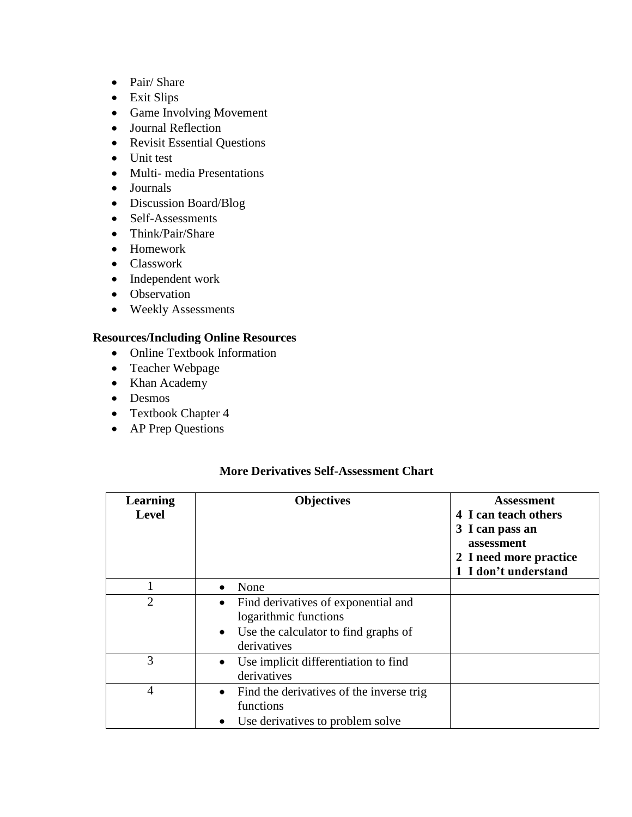- Pair/ Share
- Exit Slips
- Game Involving Movement
- Journal Reflection
- Revisit Essential Questions
- Unit test
- Multi- media Presentations
- Journals
- Discussion Board/Blog
- Self-Assessments
- Think/Pair/Share
- Homework
- Classwork
- Independent work
- Observation
- Weekly Assessments

- Online Textbook Information
- Teacher Webpage
- Khan Academy
- Desmos
- Textbook Chapter 4
- AP Prep Questions

#### **More Derivatives Self-Assessment Chart**

| <b>Learning</b><br><b>Level</b> | <b>Objectives</b>                                                                                                                             | Assessment<br>4 I can teach others<br>3 I can pass an<br>assessment<br>2 I need more practice<br>1 I don't understand |
|---------------------------------|-----------------------------------------------------------------------------------------------------------------------------------------------|-----------------------------------------------------------------------------------------------------------------------|
|                                 | None<br>$\bullet$                                                                                                                             |                                                                                                                       |
| $\overline{2}$                  | Find derivatives of exponential and<br>$\bullet$<br>logarithmic functions<br>Use the calculator to find graphs of<br>$\bullet$<br>derivatives |                                                                                                                       |
| 3                               | Use implicit differentiation to find<br>$\bullet$<br>derivatives                                                                              |                                                                                                                       |
| 4                               | Find the derivatives of the inverse trig<br>$\bullet$<br>functions<br>Use derivatives to problem solve<br>$\bullet$                           |                                                                                                                       |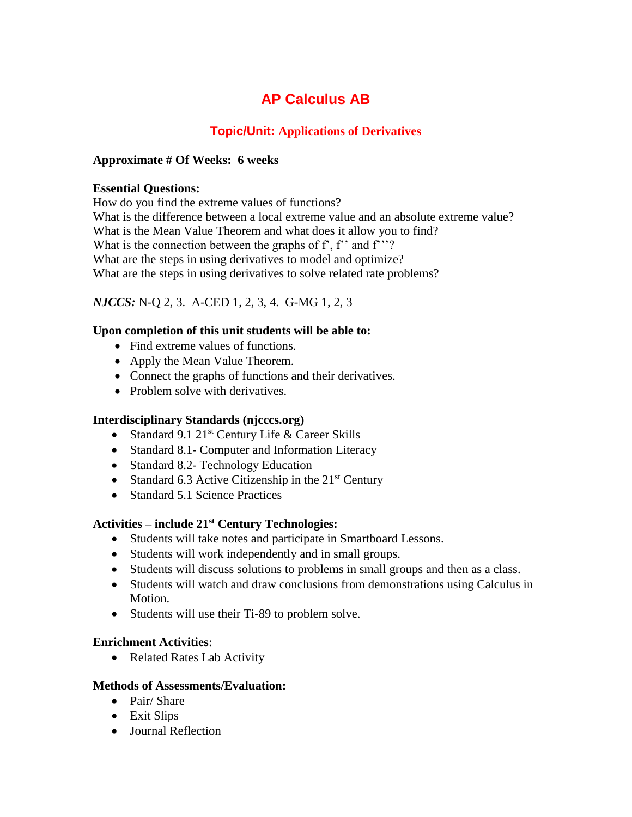## **Topic/Unit: Applications of Derivatives**

### **Approximate # Of Weeks: 6 weeks**

#### **Essential Questions:**

How do you find the extreme values of functions? What is the difference between a local extreme value and an absolute extreme value? What is the Mean Value Theorem and what does it allow you to find? What is the connection between the graphs of  $f$ ,  $f$ <sup>"</sup> and  $f$ <sup>"</sup>? What are the steps in using derivatives to model and optimize? What are the steps in using derivatives to solve related rate problems?

## *NJCCS:* N-Q 2, 3. A-CED 1, 2, 3, 4. G-MG 1, 2, 3

### **Upon completion of this unit students will be able to:**

- Find extreme values of functions.
- Apply the Mean Value Theorem.
- Connect the graphs of functions and their derivatives.
- Problem solve with derivatives.

#### **Interdisciplinary Standards (njcccs.org)**

- Standard 9.1  $21^{st}$  Century Life & Career Skills
- Standard 8.1- Computer and Information Literacy
- Standard 8.2- Technology Education
- Standard 6.3 Active Citizenship in the  $21<sup>st</sup>$  Century
- Standard 5.1 Science Practices

#### **Activities – include 21st Century Technologies:**

- Students will take notes and participate in Smartboard Lessons.
- Students will work independently and in small groups.
- Students will discuss solutions to problems in small groups and then as a class.
- Students will watch and draw conclusions from demonstrations using Calculus in Motion.
- Students will use their Ti-89 to problem solve.

#### **Enrichment Activities**:

• Related Rates Lab Activity

- Pair/ Share
- Exit Slips
- Journal Reflection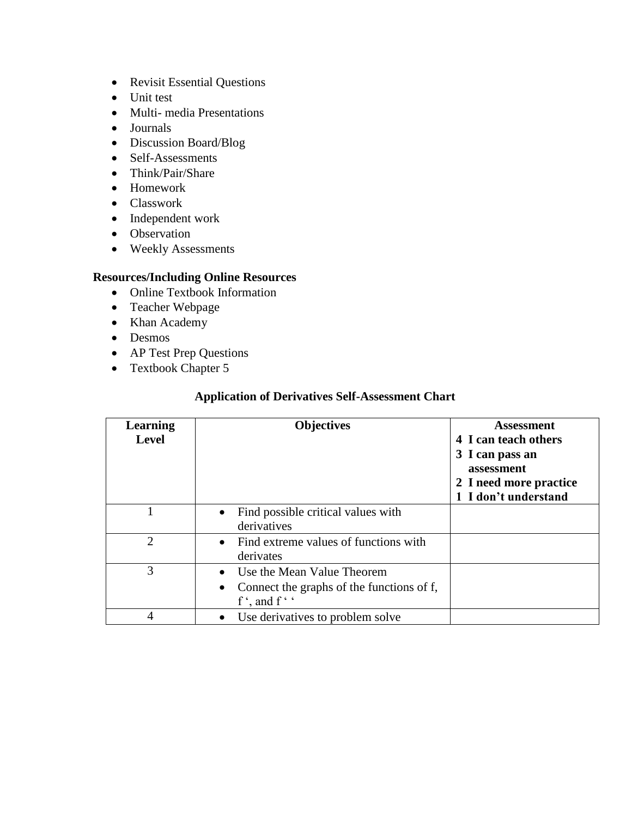- Revisit Essential Questions
- Unit test
- Multi-media Presentations
- Journals
- Discussion Board/Blog
- Self-Assessments
- Think/Pair/Share
- Homework
- Classwork
- Independent work
- Observation
- Weekly Assessments

- Online Textbook Information
- Teacher Webpage
- Khan Academy
- Desmos
- AP Test Prep Questions
- Textbook Chapter 5

### **Application of Derivatives Self-Assessment Chart**

| <b>Learning</b><br><b>Level</b> | <b>Objectives</b>                                                                                                       | <b>Assessment</b><br>4 I can teach others<br>3 I can pass an<br>assessment<br>2 I need more practice<br>1 I don't understand |
|---------------------------------|-------------------------------------------------------------------------------------------------------------------------|------------------------------------------------------------------------------------------------------------------------------|
|                                 | • Find possible critical values with<br>derivatives                                                                     |                                                                                                                              |
| 2                               | • Find extreme values of functions with<br>derivates                                                                    |                                                                                                                              |
| 3                               | Use the Mean Value Theorem<br>Connect the graphs of the functions of f,<br>$\bullet$<br>$f^{\prime}$ , and $f^{\prime}$ |                                                                                                                              |
| 4                               | Use derivatives to problem solve<br>$\bullet$                                                                           |                                                                                                                              |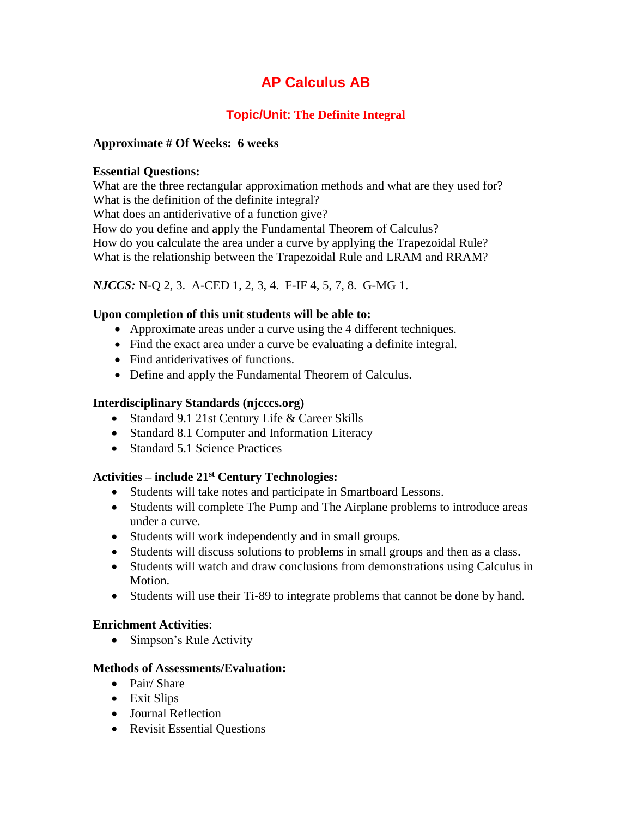# **Topic/Unit: The Definite Integral**

### **Approximate # Of Weeks: 6 weeks**

#### **Essential Questions:**

What are the three rectangular approximation methods and what are they used for? What is the definition of the definite integral? What does an antiderivative of a function give? How do you define and apply the Fundamental Theorem of Calculus? How do you calculate the area under a curve by applying the Trapezoidal Rule? What is the relationship between the Trapezoidal Rule and LRAM and RRAM?

## *NJCCS:* N-Q 2, 3. A-CED 1, 2, 3, 4. F-IF 4, 5, 7, 8. G-MG 1.

### **Upon completion of this unit students will be able to:**

- Approximate areas under a curve using the 4 different techniques.
- Find the exact area under a curve be evaluating a definite integral.
- Find antiderivatives of functions.
- Define and apply the Fundamental Theorem of Calculus.

### **Interdisciplinary Standards (njcccs.org)**

- Standard 9.1 21st Century Life & Career Skills
- Standard 8.1 Computer and Information Literacy
- Standard 5.1 Science Practices

#### **Activities – include 21st Century Technologies:**

- Students will take notes and participate in Smartboard Lessons.
- Students will complete The Pump and The Airplane problems to introduce areas under a curve.
- Students will work independently and in small groups.
- Students will discuss solutions to problems in small groups and then as a class.
- Students will watch and draw conclusions from demonstrations using Calculus in Motion.
- Students will use their Ti-89 to integrate problems that cannot be done by hand.

## **Enrichment Activities**:

• Simpson's Rule Activity

- Pair/ Share
- Exit Slips
- Journal Reflection
- Revisit Essential Questions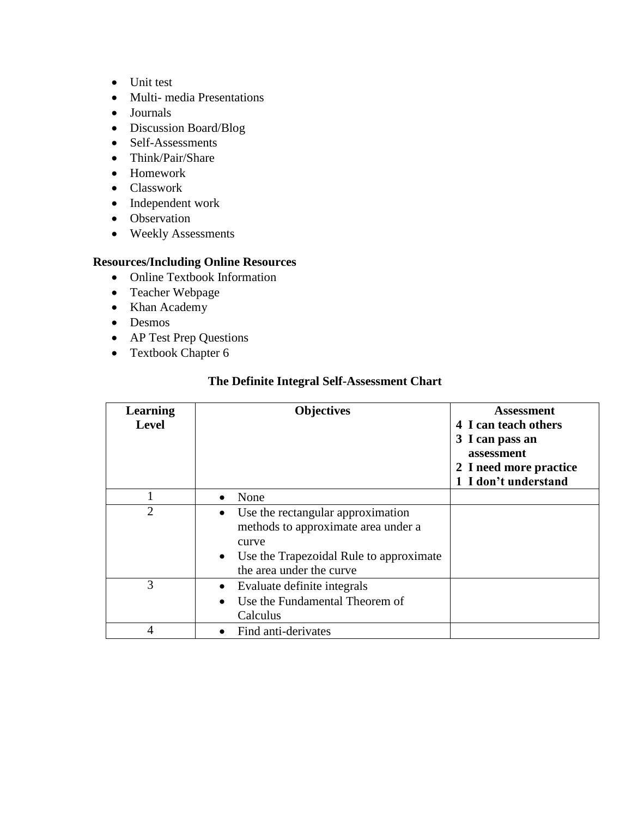- Unit test
- Multi- media Presentations
- Journals
- Discussion Board/Blog
- Self-Assessments
- Think/Pair/Share
- Homework
- Classwork
- Independent work
- Observation
- Weekly Assessments

- Online Textbook Information
- Teacher Webpage
- Khan Academy
- Desmos
- AP Test Prep Questions
- Textbook Chapter 6

## **The Definite Integral Self-Assessment Chart**

| <b>Learning</b><br><b>Level</b> | <b>Objectives</b>                                                                                                                                                                  | Assessment<br>4 I can teach others<br>3 I can pass an<br>assessment<br>2 I need more practice<br>1 I don't understand |
|---------------------------------|------------------------------------------------------------------------------------------------------------------------------------------------------------------------------------|-----------------------------------------------------------------------------------------------------------------------|
|                                 | None                                                                                                                                                                               |                                                                                                                       |
| $\overline{2}$                  | Use the rectangular approximation<br>$\bullet$<br>methods to approximate area under a<br>curve<br>Use the Trapezoidal Rule to approximate<br>$\bullet$<br>the area under the curve |                                                                                                                       |
| 3                               | Evaluate definite integrals<br>Use the Fundamental Theorem of<br>$\bullet$<br>Calculus                                                                                             |                                                                                                                       |
| 4                               | Find anti-derivates                                                                                                                                                                |                                                                                                                       |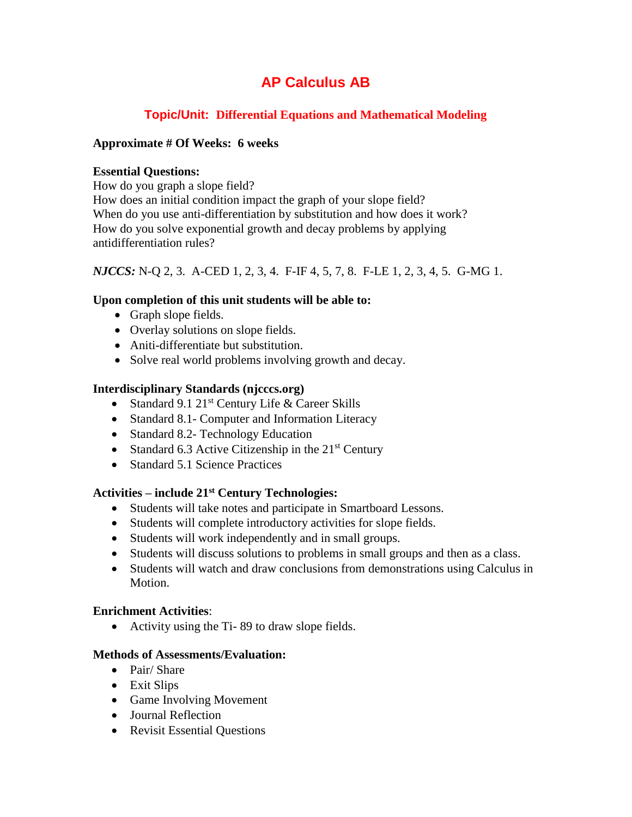## **Topic/Unit: Differential Equations and Mathematical Modeling**

### **Approximate # Of Weeks: 6 weeks**

#### **Essential Questions:**

How do you graph a slope field?

How does an initial condition impact the graph of your slope field? When do you use anti-differentiation by substitution and how does it work? How do you solve exponential growth and decay problems by applying antidifferentiation rules?

*NJCCS:* N-Q 2, 3. A-CED 1, 2, 3, 4. F-IF 4, 5, 7, 8. F-LE 1, 2, 3, 4, 5. G-MG 1.

## **Upon completion of this unit students will be able to:**

- Graph slope fields.
- Overlay solutions on slope fields.
- Aniti-differentiate but substitution.
- Solve real world problems involving growth and decay.

## **Interdisciplinary Standards (njcccs.org)**

- Standard 9.1  $21^{st}$  Century Life & Career Skills
- Standard 8.1- Computer and Information Literacy
- Standard 8.2- Technology Education
- Standard 6.3 Active Citizenship in the  $21<sup>st</sup>$  Century
- Standard 5.1 Science Practices

## **Activities – include 21st Century Technologies:**

- Students will take notes and participate in Smartboard Lessons.
- Students will complete introductory activities for slope fields.
- Students will work independently and in small groups.
- Students will discuss solutions to problems in small groups and then as a class.
- Students will watch and draw conclusions from demonstrations using Calculus in Motion.

## **Enrichment Activities**:

Activity using the Ti- 89 to draw slope fields.

- Pair/ Share
- Exit Slips
- Game Involving Movement
- Journal Reflection
- Revisit Essential Questions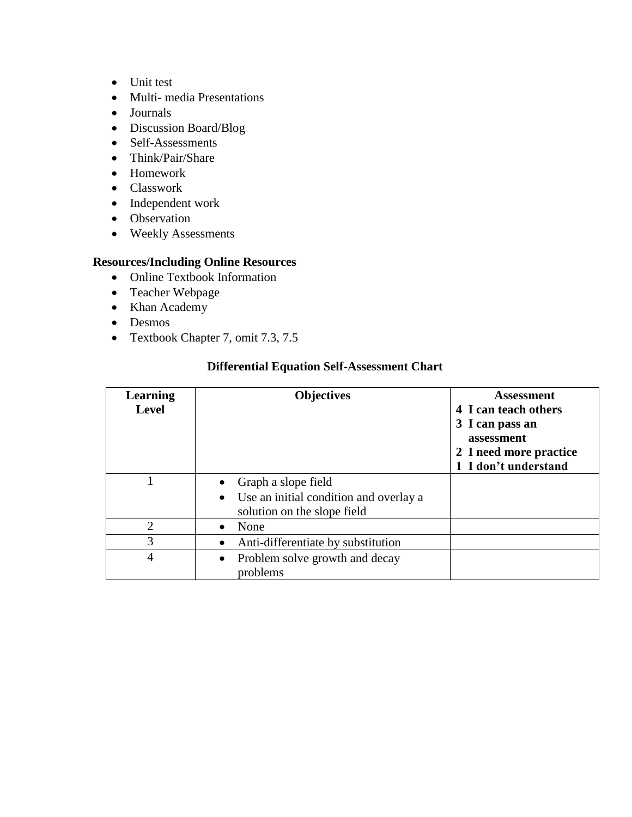- Unit test
- Multi- media Presentations
- Journals
- Discussion Board/Blog
- Self-Assessments
- Think/Pair/Share
- Homework
- Classwork
- Independent work
- Observation
- Weekly Assessments

- Online Textbook Information
- Teacher Webpage
- Khan Academy
- Desmos
- Textbook Chapter 7, omit 7.3, 7.5

| Learning<br><b>Level</b> | <b>Objectives</b>                                                                                         | Assessment<br>4 I can teach others<br>3 I can pass an<br>assessment<br>2 I need more practice<br>1 I don't understand |
|--------------------------|-----------------------------------------------------------------------------------------------------------|-----------------------------------------------------------------------------------------------------------------------|
|                          | Graph a slope field<br>Use an initial condition and overlay a<br>$\bullet$<br>solution on the slope field |                                                                                                                       |
| $\overline{2}$           | None                                                                                                      |                                                                                                                       |
| 3                        | Anti-differentiate by substitution                                                                        |                                                                                                                       |
| $\overline{4}$           | Problem solve growth and decay<br>problems                                                                |                                                                                                                       |

## **Differential Equation Self-Assessment Chart**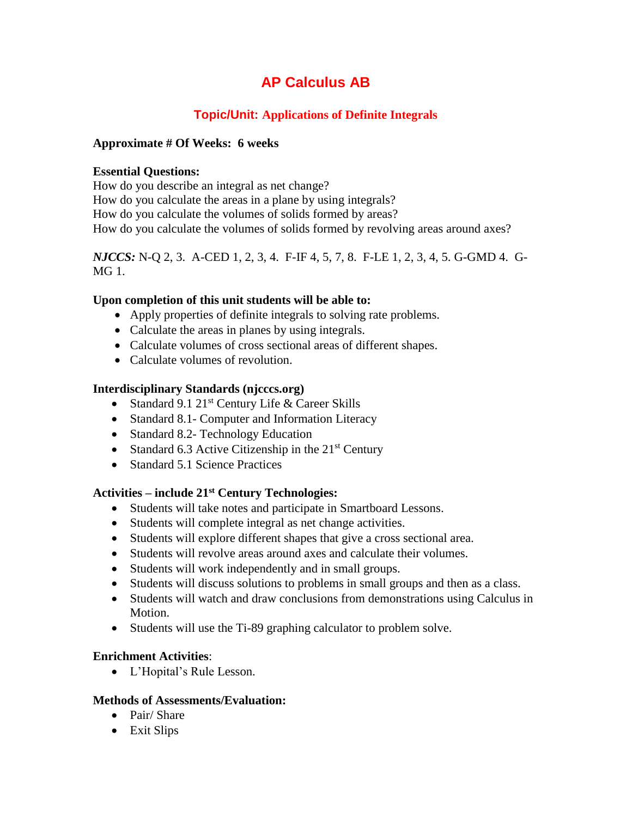# **Topic/Unit: Applications of Definite Integrals**

### **Approximate # Of Weeks: 6 weeks**

#### **Essential Questions:**

How do you describe an integral as net change? How do you calculate the areas in a plane by using integrals? How do you calculate the volumes of solids formed by areas? How do you calculate the volumes of solids formed by revolving areas around axes?

### *NJCCS:* N-Q 2, 3. A-CED 1, 2, 3, 4. F-IF 4, 5, 7, 8. F-LE 1, 2, 3, 4, 5. G-GMD 4. G-MG 1.

### **Upon completion of this unit students will be able to:**

- Apply properties of definite integrals to solving rate problems.
- Calculate the areas in planes by using integrals.
- Calculate volumes of cross sectional areas of different shapes.
- Calculate volumes of revolution.

## **Interdisciplinary Standards (njcccs.org)**

- Standard 9.1  $21^{st}$  Century Life & Career Skills
- Standard 8.1- Computer and Information Literacy
- Standard 8.2- Technology Education
- Standard 6.3 Active Citizenship in the  $21<sup>st</sup>$  Century
- Standard 5.1 Science Practices

## **Activities – include 21st Century Technologies:**

- Students will take notes and participate in Smartboard Lessons.
- Students will complete integral as net change activities.
- Students will explore different shapes that give a cross sectional area.
- Students will revolve areas around axes and calculate their volumes.
- Students will work independently and in small groups.
- Students will discuss solutions to problems in small groups and then as a class.
- Students will watch and draw conclusions from demonstrations using Calculus in Motion.
- Students will use the Ti-89 graphing calculator to problem solve.

## **Enrichment Activities**:

L'Hopital's Rule Lesson.

- Pair/ Share
- Exit Slips